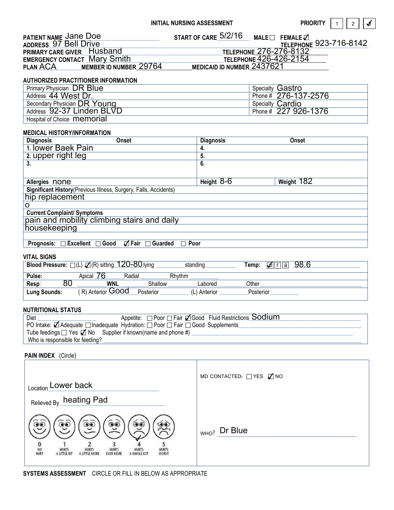**ORITY** 1  $1 \mid 2$ ✓

| <b>PATIENT NAME Jane Doe</b><br><b>ADDRESS 97 Bell Drive</b> | START OF CARE 5/2/16<br>$\mathsf{MALE}\Box$ FEMALE $\Box$<br>TELEPHONE 923-716-8142 |
|--------------------------------------------------------------|-------------------------------------------------------------------------------------|
| <b>PRIMARY CARE GIVER Husband</b>                            | TELEPHONE 276-276-8132                                                              |
| <b>EMERGENCY CONTACT Mary Smith</b>                          | TELEPHONE 426-426-2154                                                              |
| MEMBER ID NUMBER 29764<br><b>PLAN ACA</b>                    | MEDICAID ID NUMBER 2437621                                                          |

#### AUTHORIZED PRACTITIONER INFORMATION

| <sup>'</sup> Primary Physician DR Blue | <b>Specialty Gastro</b> |
|----------------------------------------|-------------------------|
| Address 44 West Dr.                    | Phone # 276-137-2576    |
| Secondary Physician DR Young           | Specialty Cardio        |
| Address 92-37 Linden BLVD              | Phone # 227 926-1376    |
| Hospital of Choice <b>memorial</b>     |                         |

## MEDICAL HISTORY/INFORMATION

| <b>Diagnosis</b>                                                           | Onset | <b>Diagnosis</b> | Onset      |
|----------------------------------------------------------------------------|-------|------------------|------------|
| 1. Iower Baek Pain                                                         |       | 4.               |            |
| 2. upper right leg                                                         |       | 5.               |            |
| 3.                                                                         |       | 6.               |            |
|                                                                            |       |                  |            |
| Allergies none                                                             |       | Height $8-6$     | Weight 182 |
| Significant History (Previous Illness, Surgery, Falls, Accidents)          |       |                  |            |
| hip replacement                                                            |       |                  |            |
|                                                                            |       |                  |            |
| <b>Current Complaint/ Symptoms</b>                                         |       |                  |            |
| pain and mobility climbing stairs and daily                                |       |                  |            |
| housekeeping                                                               |       |                  |            |
|                                                                            |       |                  |            |
| $\Box$ Fair $\Box$ Guarded<br>Prognosis: □ Excellent □ Good<br>$\Box$ Poor |       |                  |            |

#### VITAL SIGNS

|                     | Blood Pressure: $\square$ (L) $\square$ (R) sitting 120-80 lying |           | standing     | 98.6<br>Temp:<br>الما<br>l a |  |
|---------------------|------------------------------------------------------------------|-----------|--------------|------------------------------|--|
| Pulse:              | Radial<br>Apical                                                 |           | Rhythm       |                              |  |
| <b>Resp</b><br>ou   | <b>WNL</b>                                                       | Shallow   | Labored      | Other                        |  |
| <b>Lung Sounds:</b> | (R) Anterior Good                                                | Posterior | (L) Anterior | Posterior                    |  |

## NUTRITIONAL STATUS

| Diet                                                                                    | Appetite: □ Poor □ Fair □ Good Fluid Restrictions Sodium |  |  |
|-----------------------------------------------------------------------------------------|----------------------------------------------------------|--|--|
| PO Intake: Ø Adequate □ Inadequate Hydration: □ Poor □ Fair □ Good Supplements_         |                                                          |  |  |
| Tube feedings $\square$ Yes $\blacktriangledown$ No Supplier if known(name and phone #) |                                                          |  |  |
| Who is responsible for feeding?                                                         |                                                          |  |  |

# PAIN INDEX (Circle)

| Location_Lower back                                                                                                                                                                         | MD CONTACTED: $\Box$ YES $\Box$ NO    |
|---------------------------------------------------------------------------------------------------------------------------------------------------------------------------------------------|---------------------------------------|
| Relieved By_heating Pad                                                                                                                                                                     |                                       |
| Ģ<br>کی<br>کی<br>۹<br>ە<br>NO<br><b>HURTS</b><br><b>HURTS</b><br><b>HURTS</b><br>HURTS<br>WORST<br><b>HURTS</b><br>HURT<br>A LITTLE BIT<br><b>EVEN MORE</b><br>A WHOLE LOT<br>A LITTLE MORE | $\sqrt[3]{1}$ <sub>WHO?</sub> Dr Blue |